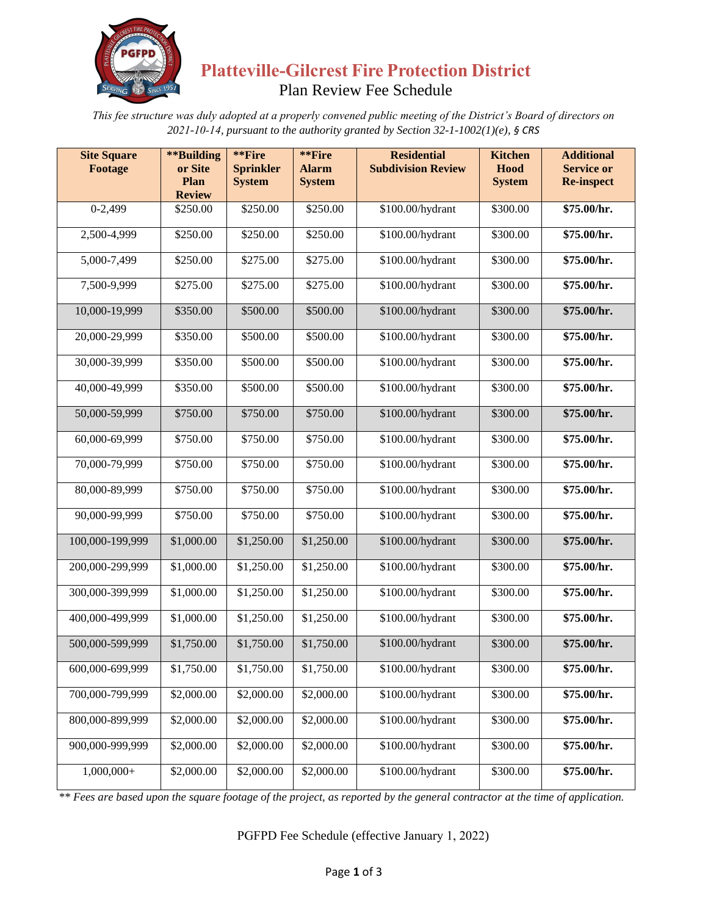

# **Platteville-Gilcrest Fire Protection District** Plan Review Fee Schedule

*This fee structure was duly adopted at a properly convened public meeting of the District's Board of directors on 2021-10-14, pursuant to the authority granted by Section 32-1-1002(1)(e), § CRS*

| <b>Site Square</b><br>Footage | **Building<br>or Site | **Fire<br><b>Sprinkler</b> | **Fire<br><b>Alarm</b> | <b>Residential</b><br><b>Subdivision Review</b> | <b>Kitchen</b><br>Hood | <b>Additional</b><br><b>Service or</b> |
|-------------------------------|-----------------------|----------------------------|------------------------|-------------------------------------------------|------------------------|----------------------------------------|
|                               | Plan<br><b>Review</b> | <b>System</b>              | <b>System</b>          |                                                 | <b>System</b>          | <b>Re-inspect</b>                      |
| $0-2,499$                     | \$250.00              | \$250.00                   | \$250.00               | \$100.00/hydrant                                | \$300.00               | \$75.00/hr.                            |
| 2,500-4,999                   | \$250.00              | \$250.00                   | \$250.00               | \$100.00/hydrant                                | \$300.00               | \$75.00/hr.                            |
| 5,000-7,499                   | \$250.00              | \$275.00                   | \$275.00               | \$100.00/hydrant                                | \$300.00               | \$75.00/hr.                            |
| 7,500-9,999                   | \$275.00              | \$275.00                   | \$275.00               | \$100.00/hydrant                                | \$300.00               | \$75.00/hr.                            |
| 10,000-19,999                 | \$350.00              | \$500.00                   | \$500.00               | \$100.00/hydrant                                | \$300.00               | \$75.00/hr.                            |
| 20,000-29,999                 | \$350.00              | \$500.00                   | \$500.00               | \$100.00/hydrant                                | \$300.00               | \$75.00/hr.                            |
| 30,000-39,999                 | \$350.00              | \$500.00                   | \$500.00               | \$100.00/hydrant                                | \$300.00               | \$75.00/hr.                            |
| 40,000-49,999                 | \$350.00              | \$500.00                   | \$500.00               | \$100.00/hydrant                                | \$300.00               | \$75.00/hr.                            |
| 50,000-59,999                 | \$750.00              | \$750.00                   | \$750.00               | \$100.00/hydrant                                | \$300.00               | \$75.00/hr.                            |
| 60,000-69,999                 | \$750.00              | \$750.00                   | \$750.00               | \$100.00/hydrant                                | \$300.00               | \$75.00/hr.                            |
| 70,000-79,999                 | \$750.00              | \$750.00                   | \$750.00               | \$100.00/hydrant                                | \$300.00               | \$75.00/hr.                            |
| 80,000-89,999                 | \$750.00              | \$750.00                   | \$750.00               | \$100.00/hydrant                                | \$300.00               | \$75.00/hr.                            |
| 90,000-99,999                 | \$750.00              | \$750.00                   | \$750.00               | \$100.00/hydrant                                | \$300.00               | \$75.00/hr.                            |
| 100,000-199,999               | \$1,000.00            | \$1,250.00                 | \$1,250.00             | \$100.00/hydrant                                | \$300.00               | \$75.00/hr.                            |
| 200,000-299,999               | \$1,000.00            | \$1,250.00                 | \$1,250.00             | \$100.00/hydrant                                | \$300.00               | \$75.00/hr.                            |
| 300,000-399,999               | \$1,000.00            | \$1,250.00                 | \$1,250.00             | \$100.00/hydrant                                | \$300.00               | \$75.00/hr.                            |
| 400,000-499,999               | \$1,000.00            | \$1,250.00                 | \$1,250.00             | \$100.00/hydrant                                | \$300.00               | \$75.00/hr.                            |
| 500,000-599,999               | \$1,750.00            | \$1,750.00                 | \$1,750.00             | \$100.00/hydrant                                | \$300.00               | \$75.00/hr.                            |
| 600,000-699,999               | \$1,750.00            | \$1,750.00                 | \$1,750.00             | \$100.00/hydrant                                | \$300.00               | \$75.00/hr.                            |
| 700,000-799,999               | \$2,000.00            | \$2,000.00                 | \$2,000.00             | \$100.00/hydrant                                | \$300.00               | \$75.00/hr.                            |
| 800,000-899,999               | \$2,000.00            | \$2,000.00                 | \$2,000.00             | \$100.00/hydrant                                | \$300.00               | \$75.00/hr.                            |
| 900,000-999,999               | \$2,000.00            | \$2,000.00                 | \$2,000.00             | \$100.00/hydrant                                | \$300.00               | \$75.00/hr.                            |
| $1,000,000+$                  | \$2,000.00            | \$2,000.00                 | \$2,000.00             | \$100.00/hydrant                                | \$300.00               | \$75.00/hr.                            |

*\*\* Fees are based upon the square footage of the project, as reported by the general contractor at the time of application.*

PGFPD Fee Schedule (effective January 1, 2022)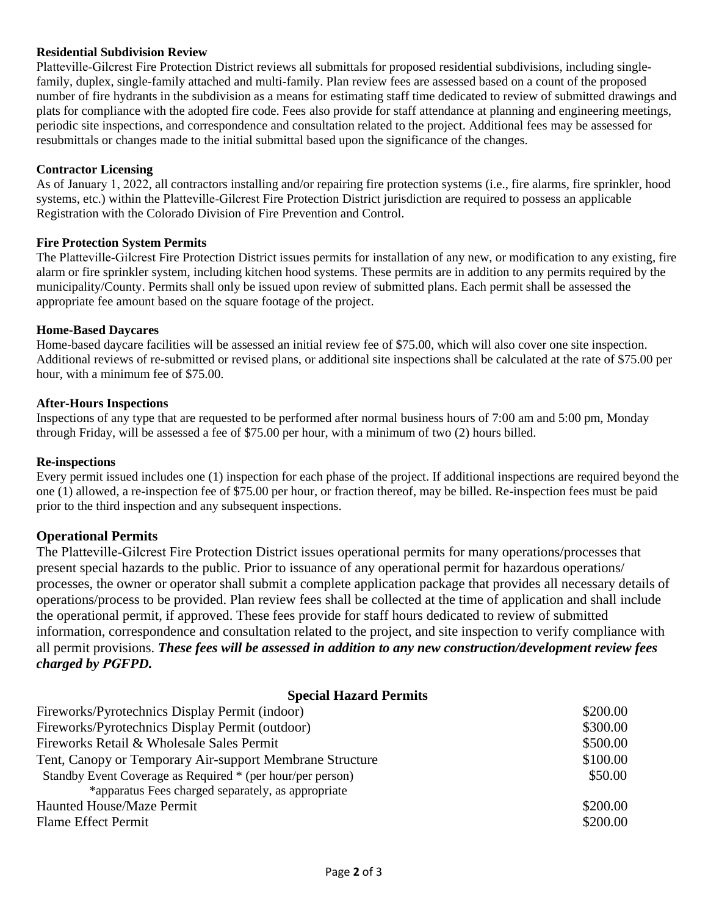#### **Residential Subdivision Review**

Platteville-Gilcrest Fire Protection District reviews all submittals for proposed residential subdivisions, including singlefamily, duplex, single-family attached and multi-family. Plan review fees are assessed based on a count of the proposed number of fire hydrants in the subdivision as a means for estimating staff time dedicated to review of submitted drawings and plats for compliance with the adopted fire code. Fees also provide for staff attendance at planning and engineering meetings, periodic site inspections, and correspondence and consultation related to the project. Additional fees may be assessed for resubmittals or changes made to the initial submittal based upon the significance of the changes.

#### **Contractor Licensing**

As of January 1, 2022, all contractors installing and/or repairing fire protection systems (i.e., fire alarms, fire sprinkler, hood systems, etc.) within the Platteville-Gilcrest Fire Protection District jurisdiction are required to possess an applicable Registration with the Colorado Division of Fire Prevention and Control.

#### **Fire Protection System Permits**

The Platteville-Gilcrest Fire Protection District issues permits for installation of any new, or modification to any existing, fire alarm or fire sprinkler system, including kitchen hood systems. These permits are in addition to any permits required by the municipality/County. Permits shall only be issued upon review of submitted plans. Each permit shall be assessed the appropriate fee amount based on the square footage of the project.

#### **Home-Based Daycares**

Home-based daycare facilities will be assessed an initial review fee of \$75.00, which will also cover one site inspection. Additional reviews of re-submitted or revised plans, or additional site inspections shall be calculated at the rate of \$75.00 per hour, with a minimum fee of \$75.00.

#### **After-Hours Inspections**

Inspections of any type that are requested to be performed after normal business hours of 7:00 am and 5:00 pm, Monday through Friday, will be assessed a fee of \$75.00 per hour, with a minimum of two (2) hours billed.

#### **Re-inspections**

Every permit issued includes one (1) inspection for each phase of the project. If additional inspections are required beyond the one (1) allowed, a re-inspection fee of \$75.00 per hour, or fraction thereof, may be billed. Re-inspection fees must be paid prior to the third inspection and any subsequent inspections.

#### **Operational Permits**

The Platteville-Gilcrest Fire Protection District issues operational permits for many operations/processes that present special hazards to the public. Prior to issuance of any operational permit for hazardous operations/ processes, the owner or operator shall submit a complete application package that provides all necessary details of operations/process to be provided. Plan review fees shall be collected at the time of application and shall include the operational permit, if approved. These fees provide for staff hours dedicated to review of submitted information, correspondence and consultation related to the project, and site inspection to verify compliance with all permit provisions. *These fees will be assessed in addition to any new construction/development review fees charged by PGFPD.*

#### **Special Hazard Permits**

| Fireworks/Pyrotechnics Display Permit (indoor)             | \$200.00 |
|------------------------------------------------------------|----------|
| Fireworks/Pyrotechnics Display Permit (outdoor)            | \$300.00 |
| Fireworks Retail & Wholesale Sales Permit                  | \$500.00 |
| Tent, Canopy or Temporary Air-support Membrane Structure   | \$100.00 |
| Standby Event Coverage as Required * (per hour/per person) | \$50.00  |
| *apparatus Fees charged separately, as appropriate         |          |
| Haunted House/Maze Permit                                  | \$200.00 |
| <b>Flame Effect Permit</b>                                 | \$200.00 |